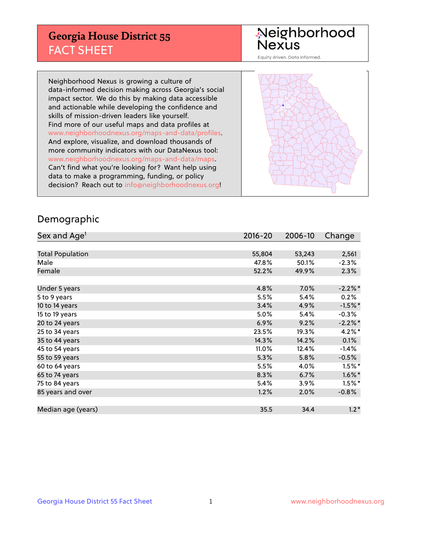## **Georgia House District 55** FACT SHEET

# Neighborhood<br>Nexus

Equity driven. Data informed.

Neighborhood Nexus is growing a culture of data-informed decision making across Georgia's social impact sector. We do this by making data accessible and actionable while developing the confidence and skills of mission-driven leaders like yourself. Find more of our useful maps and data profiles at www.neighborhoodnexus.org/maps-and-data/profiles. And explore, visualize, and download thousands of more community indicators with our DataNexus tool: www.neighborhoodnexus.org/maps-and-data/maps. Can't find what you're looking for? Want help using data to make a programming, funding, or policy decision? Reach out to [info@neighborhoodnexus.org!](mailto:info@neighborhoodnexus.org)



### Demographic

| Sex and Age <sup>1</sup> | $2016 - 20$ | 2006-10 | Change    |
|--------------------------|-------------|---------|-----------|
|                          |             |         |           |
| <b>Total Population</b>  | 55,804      | 53,243  | 2,561     |
| Male                     | 47.8%       | 50.1%   | $-2.3%$   |
| Female                   | 52.2%       | 49.9%   | 2.3%      |
|                          |             |         |           |
| Under 5 years            | 4.8%        | 7.0%    | $-2.2%$ * |
| 5 to 9 years             | 5.5%        | 5.4%    | 0.2%      |
| 10 to 14 years           | 3.4%        | 4.9%    | $-1.5%$ * |
| 15 to 19 years           | 5.0%        | 5.4%    | $-0.3%$   |
| 20 to 24 years           | 6.9%        | 9.2%    | $-2.2%$ * |
| 25 to 34 years           | 23.5%       | 19.3%   | $4.2\%$ * |
| 35 to 44 years           | 14.3%       | 14.2%   | 0.1%      |
| 45 to 54 years           | 11.0%       | 12.4%   | $-1.4%$   |
| 55 to 59 years           | 5.3%        | 5.8%    | $-0.5%$   |
| 60 to 64 years           | 5.5%        | 4.0%    | $1.5%$ *  |
| 65 to 74 years           | 8.3%        | 6.7%    | $1.6\%$ * |
| 75 to 84 years           | 5.4%        | 3.9%    | $1.5%$ *  |
| 85 years and over        | 1.2%        | 2.0%    | $-0.8%$   |
|                          |             |         |           |
| Median age (years)       | 35.5        | 34.4    | $1.2*$    |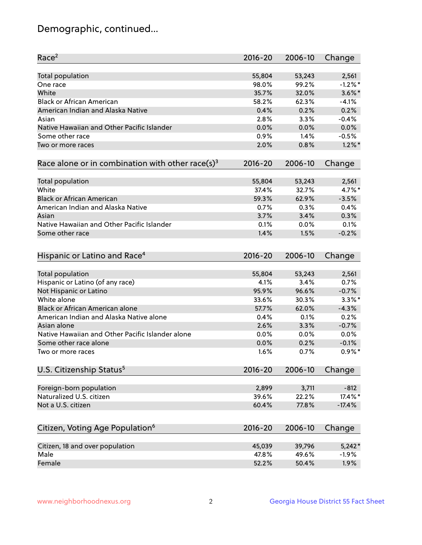## Demographic, continued...

| Race <sup>2</sup>                                            | $2016 - 20$ | 2006-10 | Change    |
|--------------------------------------------------------------|-------------|---------|-----------|
| <b>Total population</b>                                      | 55,804      | 53,243  | 2,561     |
| One race                                                     | 98.0%       | 99.2%   | $-1.2%$ * |
| White                                                        | 35.7%       | 32.0%   | $3.6\%$ * |
| <b>Black or African American</b>                             | 58.2%       | 62.3%   | $-4.1%$   |
| American Indian and Alaska Native                            | 0.4%        | 0.2%    | 0.2%      |
| Asian                                                        | 2.8%        | 3.3%    | $-0.4%$   |
| Native Hawaiian and Other Pacific Islander                   | 0.0%        | 0.0%    | 0.0%      |
| Some other race                                              | 0.9%        | 1.4%    | $-0.5%$   |
| Two or more races                                            | 2.0%        | 0.8%    | $1.2\%$ * |
| Race alone or in combination with other race(s) <sup>3</sup> | $2016 - 20$ | 2006-10 | Change    |
| Total population                                             | 55,804      | 53,243  | 2,561     |
| White                                                        | 37.4%       | 32.7%   | 4.7%*     |
| <b>Black or African American</b>                             | 59.3%       | 62.9%   | $-3.5%$   |
| American Indian and Alaska Native                            | 0.7%        | 0.3%    | 0.4%      |
| Asian                                                        | 3.7%        | 3.4%    | 0.3%      |
| Native Hawaiian and Other Pacific Islander                   | 0.1%        | 0.0%    | 0.1%      |
| Some other race                                              | 1.4%        | 1.5%    | $-0.2%$   |
| Hispanic or Latino and Race <sup>4</sup>                     | $2016 - 20$ | 2006-10 | Change    |
| <b>Total population</b>                                      | 55,804      | 53,243  | 2,561     |
| Hispanic or Latino (of any race)                             | 4.1%        | 3.4%    | 0.7%      |
| Not Hispanic or Latino                                       | 95.9%       | 96.6%   | $-0.7%$   |
| White alone                                                  | 33.6%       | 30.3%   | $3.3\%$ * |
| <b>Black or African American alone</b>                       | 57.7%       | 62.0%   | $-4.3%$   |
| American Indian and Alaska Native alone                      | 0.4%        | 0.1%    | 0.2%      |
| Asian alone                                                  | 2.6%        | 3.3%    | $-0.7%$   |
| Native Hawaiian and Other Pacific Islander alone             | 0.0%        | 0.0%    | 0.0%      |
| Some other race alone                                        | 0.0%        | 0.2%    | $-0.1%$   |
| Two or more races                                            | 1.6%        | 0.7%    | $0.9\%$ * |
| U.S. Citizenship Status <sup>5</sup>                         | $2016 - 20$ | 2006-10 | Change    |
| Foreign-born population                                      | 2,899       | 3,711   | $-812$    |
| Naturalized U.S. citizen                                     | 39.6%       | 22.2%   | 17.4%*    |
| Not a U.S. citizen                                           | 60.4%       | 77.8%   | $-17.4%$  |
|                                                              |             |         |           |
| Citizen, Voting Age Population <sup>6</sup>                  | $2016 - 20$ | 2006-10 | Change    |
| Citizen, 18 and over population                              | 45,039      | 39,796  | $5,242*$  |
| Male                                                         | 47.8%       | 49.6%   | $-1.9%$   |
| Female                                                       | 52.2%       | 50.4%   | 1.9%      |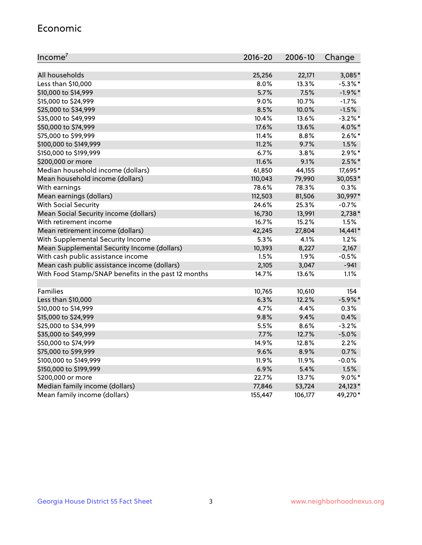#### Economic

| Income <sup>7</sup>                                 | 2016-20 | 2006-10 | Change     |
|-----------------------------------------------------|---------|---------|------------|
|                                                     |         |         |            |
| All households                                      | 25,256  | 22,171  | 3,085*     |
| Less than \$10,000                                  | 8.0%    | 13.3%   | $-5.3\%$ * |
| \$10,000 to \$14,999                                | 5.7%    | 7.5%    | $-1.9%$ *  |
| \$15,000 to \$24,999                                | 9.0%    | 10.7%   | $-1.7%$    |
| \$25,000 to \$34,999                                | 8.5%    | 10.0%   | $-1.5%$    |
| \$35,000 to \$49,999                                | 10.4%   | 13.6%   | $-3.2%$ *  |
| \$50,000 to \$74,999                                | 17.6%   | 13.6%   | 4.0%*      |
| \$75,000 to \$99,999                                | 11.4%   | 8.8%    | $2.6\%$ *  |
| \$100,000 to \$149,999                              | 11.2%   | 9.7%    | 1.5%       |
| \$150,000 to \$199,999                              | 6.7%    | 3.8%    | $2.9\%*$   |
| \$200,000 or more                                   | 11.6%   | 9.1%    | $2.5\%$ *  |
| Median household income (dollars)                   | 61,850  | 44,155  | 17,695*    |
| Mean household income (dollars)                     | 110,043 | 79,990  | 30,053*    |
| With earnings                                       | 78.6%   | 78.3%   | 0.3%       |
| Mean earnings (dollars)                             | 112,503 | 81,506  | 30,997*    |
| <b>With Social Security</b>                         | 24.6%   | 25.3%   | $-0.7%$    |
| Mean Social Security income (dollars)               | 16,730  | 13,991  | 2,738*     |
| With retirement income                              | 16.7%   | 15.2%   | 1.5%       |
| Mean retirement income (dollars)                    | 42,245  | 27,804  | $14,441*$  |
| With Supplemental Security Income                   | 5.3%    | 4.1%    | 1.2%       |
| Mean Supplemental Security Income (dollars)         | 10,393  | 8,227   | 2,167      |
| With cash public assistance income                  | 1.5%    | 1.9%    | $-0.5%$    |
| Mean cash public assistance income (dollars)        | 2,105   | 3,047   | $-941$     |
| With Food Stamp/SNAP benefits in the past 12 months | 14.7%   | 13.6%   | 1.1%       |
|                                                     |         |         |            |
| Families                                            | 10,765  | 10,610  | 154        |
| Less than \$10,000                                  | 6.3%    | 12.2%   | $-5.9\%$ * |
| \$10,000 to \$14,999                                | 4.7%    | 4.4%    | 0.3%       |
| \$15,000 to \$24,999                                | 9.8%    | 9.4%    | 0.4%       |
| \$25,000 to \$34,999                                | 5.5%    | 8.6%    | $-3.2%$    |
| \$35,000 to \$49,999                                | 7.7%    | 12.7%   | $-5.0%$    |
| \$50,000 to \$74,999                                | 14.9%   | 12.8%   | 2.2%       |
| \$75,000 to \$99,999                                | 9.6%    | 8.9%    | 0.7%       |
| \$100,000 to \$149,999                              | 11.9%   | 11.9%   | $-0.0%$    |
| \$150,000 to \$199,999                              | 6.9%    | 5.4%    | 1.5%       |
| \$200,000 or more                                   | 22.7%   | 13.7%   | $9.0\%$ *  |
| Median family income (dollars)                      | 77,846  | 53,724  | 24,123*    |
| Mean family income (dollars)                        | 155,447 | 106,177 | 49,270*    |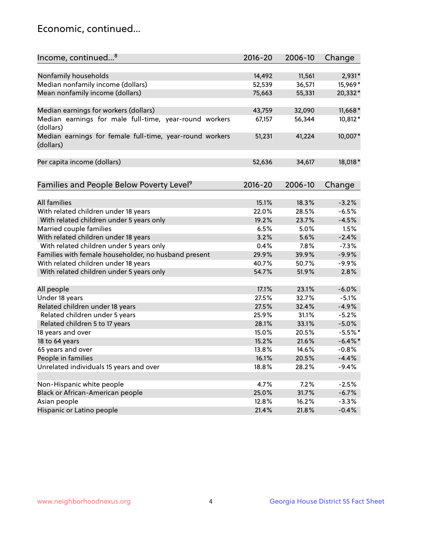## Economic, continued...

| Income, continued <sup>8</sup>                                        | $2016 - 20$ | 2006-10 | Change     |
|-----------------------------------------------------------------------|-------------|---------|------------|
|                                                                       |             |         |            |
| Nonfamily households                                                  | 14,492      | 11,561  | 2,931*     |
| Median nonfamily income (dollars)                                     | 52,539      | 36,571  | 15,969*    |
| Mean nonfamily income (dollars)                                       | 75,663      | 55,331  | 20,332*    |
| Median earnings for workers (dollars)                                 | 43,759      | 32,090  | $11,668*$  |
| Median earnings for male full-time, year-round workers<br>(dollars)   | 67,157      | 56,344  | 10,812*    |
| Median earnings for female full-time, year-round workers<br>(dollars) | 51,231      | 41,224  | 10,007*    |
| Per capita income (dollars)                                           | 52,636      | 34,617  | 18,018*    |
| Families and People Below Poverty Level <sup>9</sup>                  | 2016-20     | 2006-10 |            |
|                                                                       |             |         | Change     |
| <b>All families</b>                                                   | 15.1%       | 18.3%   | $-3.2%$    |
| With related children under 18 years                                  | 22.0%       | 28.5%   | $-6.5%$    |
| With related children under 5 years only                              | 19.2%       | 23.7%   | $-4.5%$    |
| Married couple families                                               | 6.5%        | 5.0%    | 1.5%       |
| With related children under 18 years                                  | 3.2%        | 5.6%    | $-2.4%$    |
| With related children under 5 years only                              | 0.4%        | 7.8%    | $-7.3%$    |
| Families with female householder, no husband present                  | 29.9%       | 39.9%   | $-9.9%$    |
| With related children under 18 years                                  | 40.7%       | 50.7%   | $-9.9%$    |
| With related children under 5 years only                              | 54.7%       | 51.9%   | 2.8%       |
|                                                                       |             |         |            |
| All people                                                            | 17.1%       | 23.1%   | $-6.0%$    |
| Under 18 years                                                        | 27.5%       | 32.7%   | $-5.1%$    |
| Related children under 18 years                                       | 27.5%       | 32.4%   | $-4.9%$    |
| Related children under 5 years                                        | 25.9%       | 31.1%   | $-5.2%$    |
| Related children 5 to 17 years                                        | 28.1%       | 33.1%   | $-5.0%$    |
| 18 years and over                                                     | 15.0%       | 20.5%   | $-5.5%$ *  |
| 18 to 64 years                                                        | 15.2%       | 21.6%   | $-6.4\%$ * |
| 65 years and over                                                     | 13.8%       | 14.6%   | $-0.8%$    |
| People in families                                                    | 16.1%       | 20.5%   | $-4.4%$    |
| Unrelated individuals 15 years and over                               | 18.8%       | 28.2%   | $-9.4%$    |
|                                                                       |             |         |            |
| Non-Hispanic white people                                             | 4.7%        | 7.2%    | $-2.5%$    |
| Black or African-American people                                      | 25.0%       | 31.7%   | $-6.7%$    |
| Asian people                                                          | 12.8%       | 16.2%   | $-3.3%$    |
| Hispanic or Latino people                                             | 21.4%       | 21.8%   | $-0.4%$    |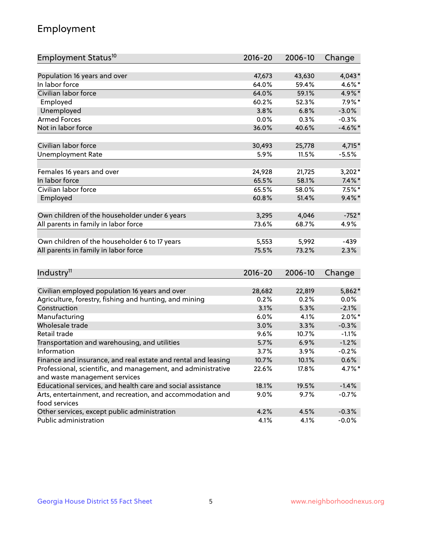## Employment

| Employment Status <sup>10</sup>                               | $2016 - 20$ | 2006-10 | Change     |
|---------------------------------------------------------------|-------------|---------|------------|
|                                                               |             |         |            |
| Population 16 years and over<br>In labor force                | 47,673      | 43,630  | $4,043*$   |
| Civilian labor force                                          | 64.0%       | 59.4%   | 4.6%*      |
|                                                               | 64.0%       | 59.1%   | 4.9%*      |
| Employed                                                      | 60.2%       | 52.3%   | $7.9\%$ *  |
| Unemployed                                                    | 3.8%        | 6.8%    | $-3.0%$    |
| <b>Armed Forces</b>                                           | 0.0%        | 0.3%    | $-0.3%$    |
| Not in labor force                                            | 36.0%       | 40.6%   | $-4.6\%$ * |
| Civilian labor force                                          | 30,493      | 25,778  | $4,715*$   |
| <b>Unemployment Rate</b>                                      | 5.9%        | 11.5%   | $-5.5%$    |
|                                                               |             |         |            |
| Females 16 years and over                                     | 24,928      | 21,725  | $3,202*$   |
| In labor force                                                | 65.5%       | 58.1%   | $7.4\%$ *  |
| Civilian labor force                                          | 65.5%       | 58.0%   | $7.5%$ *   |
| Employed                                                      | 60.8%       | 51.4%   | $9.4\%$ *  |
| Own children of the householder under 6 years                 | 3,295       | 4,046   | $-752*$    |
|                                                               | 73.6%       | 68.7%   | 4.9%       |
| All parents in family in labor force                          |             |         |            |
| Own children of the householder 6 to 17 years                 | 5,553       | 5,992   | $-439$     |
| All parents in family in labor force                          | 75.5%       | 73.2%   | 2.3%       |
|                                                               |             |         |            |
| Industry <sup>11</sup>                                        | $2016 - 20$ | 2006-10 | Change     |
|                                                               |             |         |            |
| Civilian employed population 16 years and over                | 28,682      | 22,819  | 5,862*     |
| Agriculture, forestry, fishing and hunting, and mining        | 0.2%        | 0.2%    | 0.0%       |
| Construction                                                  | 3.1%        | 5.3%    | $-2.1%$    |
| Manufacturing                                                 | 6.0%        | 4.1%    | $2.0\%$ *  |
| Wholesale trade                                               | 3.0%        | 3.3%    | $-0.3%$    |
| Retail trade                                                  | 9.6%        | 10.7%   | $-1.1%$    |
| Transportation and warehousing, and utilities                 | 5.7%        | 6.9%    | $-1.2%$    |
| Information                                                   | 3.7%        | 3.9%    | $-0.2%$    |
| Finance and insurance, and real estate and rental and leasing | 10.7%       | 10.1%   | 0.6%       |
| Professional, scientific, and management, and administrative  | 22.6%       | 17.8%   | 4.7%*      |
| and waste management services                                 |             |         |            |
| Educational services, and health care and social assistance   | 18.1%       | 19.5%   | $-1.4%$    |
| Arts, entertainment, and recreation, and accommodation and    | 9.0%        | 9.7%    | $-0.7%$    |
| food services                                                 |             |         |            |
| Other services, except public administration                  | 4.2%        | 4.5%    | $-0.3%$    |
| Public administration                                         | 4.1%        | 4.1%    | $-0.0%$    |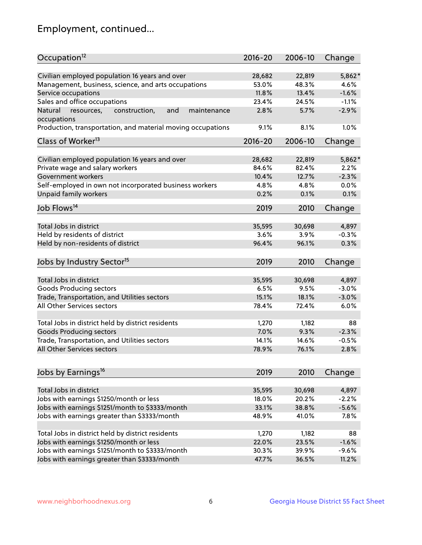## Employment, continued...

| Occupation <sup>12</sup>                                                    | $2016 - 20$ | 2006-10 | Change  |
|-----------------------------------------------------------------------------|-------------|---------|---------|
| Civilian employed population 16 years and over                              | 28,682      | 22,819  | 5,862*  |
| Management, business, science, and arts occupations                         | 53.0%       | 48.3%   | 4.6%    |
| Service occupations                                                         | 11.8%       | 13.4%   | $-1.6%$ |
| Sales and office occupations                                                | 23.4%       | 24.5%   | $-1.1%$ |
|                                                                             |             |         |         |
| Natural<br>and<br>resources,<br>construction,<br>maintenance<br>occupations | 2.8%        | 5.7%    | $-2.9%$ |
| Production, transportation, and material moving occupations                 | 9.1%        | 8.1%    | 1.0%    |
| Class of Worker <sup>13</sup>                                               | 2016-20     | 2006-10 | Change  |
|                                                                             |             |         |         |
| Civilian employed population 16 years and over                              | 28,682      | 22,819  | 5,862*  |
| Private wage and salary workers                                             | 84.6%       | 82.4%   | 2.2%    |
| Government workers                                                          | 10.4%       | 12.7%   | $-2.3%$ |
| Self-employed in own not incorporated business workers                      | 4.8%        | 4.8%    | 0.0%    |
| Unpaid family workers                                                       | 0.2%        | 0.1%    | 0.1%    |
| Job Flows <sup>14</sup>                                                     | 2019        | 2010    | Change  |
|                                                                             |             |         |         |
| Total Jobs in district                                                      | 35,595      | 30,698  | 4,897   |
| Held by residents of district                                               | 3.6%        | 3.9%    | $-0.3%$ |
| Held by non-residents of district                                           | 96.4%       | 96.1%   | 0.3%    |
| Jobs by Industry Sector <sup>15</sup>                                       | 2019        | 2010    | Change  |
|                                                                             |             |         |         |
| Total Jobs in district                                                      | 35,595      | 30,698  | 4,897   |
| Goods Producing sectors                                                     | 6.5%        | 9.5%    | $-3.0%$ |
| Trade, Transportation, and Utilities sectors                                | 15.1%       | 18.1%   | $-3.0%$ |
| All Other Services sectors                                                  | 78.4%       | 72.4%   | 6.0%    |
|                                                                             |             |         |         |
| Total Jobs in district held by district residents                           | 1,270       | 1,182   | 88      |
| <b>Goods Producing sectors</b>                                              | 7.0%        | 9.3%    | $-2.3%$ |
| Trade, Transportation, and Utilities sectors                                | 14.1%       | 14.6%   | $-0.5%$ |
| All Other Services sectors                                                  | 78.9%       | 76.1%   | 2.8%    |
|                                                                             |             |         |         |
| Jobs by Earnings <sup>16</sup>                                              | 2019        | 2010    | Change  |
|                                                                             |             |         |         |
| Total Jobs in district                                                      | 35,595      | 30,698  | 4,897   |
| Jobs with earnings \$1250/month or less                                     | 18.0%       | 20.2%   | $-2.2%$ |
| Jobs with earnings \$1251/month to \$3333/month                             | 33.1%       | 38.8%   | $-5.6%$ |
| Jobs with earnings greater than \$3333/month                                | 48.9%       | 41.0%   | 7.8%    |
| Total Jobs in district held by district residents                           | 1,270       | 1,182   | 88      |
| Jobs with earnings \$1250/month or less                                     | 22.0%       | 23.5%   | $-1.6%$ |
|                                                                             |             |         | $-9.6%$ |
| Jobs with earnings \$1251/month to \$3333/month                             | 30.3%       | 39.9%   |         |
| Jobs with earnings greater than \$3333/month                                | 47.7%       | 36.5%   | 11.2%   |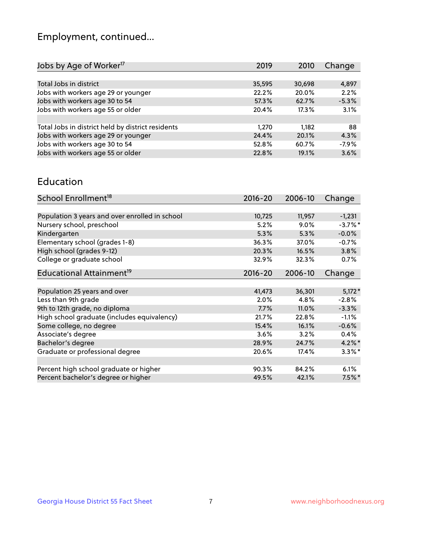## Employment, continued...

| 2019   | 2010   | Change  |
|--------|--------|---------|
|        |        |         |
| 35,595 | 30,698 | 4,897   |
| 22.2%  | 20.0%  | 2.2%    |
| 57.3%  | 62.7%  | $-5.3%$ |
| 20.4%  | 17.3%  | 3.1%    |
|        |        |         |
| 1.270  | 1.182  | 88      |
| 24.4%  | 20.1%  | 4.3%    |
| 52.8%  | 60.7%  | $-7.9%$ |
| 22.8%  | 19.1%  | 3.6%    |
|        |        |         |

#### Education

| School Enrollment <sup>18</sup>                | $2016 - 20$ | 2006-10 | Change    |
|------------------------------------------------|-------------|---------|-----------|
|                                                |             |         |           |
| Population 3 years and over enrolled in school | 10,725      | 11,957  | $-1,231$  |
| Nursery school, preschool                      | 5.2%        | $9.0\%$ | $-3.7%$ * |
| Kindergarten                                   | 5.3%        | 5.3%    | $-0.0%$   |
| Elementary school (grades 1-8)                 | 36.3%       | 37.0%   | $-0.7%$   |
| High school (grades 9-12)                      | 20.3%       | 16.5%   | 3.8%      |
| College or graduate school                     | 32.9%       | 32.3%   | 0.7%      |
| Educational Attainment <sup>19</sup>           | $2016 - 20$ | 2006-10 | Change    |
|                                                |             |         |           |
| Population 25 years and over                   | 41,473      | 36,301  | $5,172*$  |
| Less than 9th grade                            | 2.0%        | 4.8%    | $-2.8%$   |
| 9th to 12th grade, no diploma                  | 7.7%        | 11.0%   | $-3.3%$   |
| High school graduate (includes equivalency)    | 21.7%       | 22.8%   | $-1.1%$   |
| Some college, no degree                        | 15.4%       | 16.1%   | $-0.6%$   |
| Associate's degree                             | 3.6%        | 3.2%    | 0.4%      |
| Bachelor's degree                              | 28.9%       | 24.7%   | $4.2\%$ * |
| Graduate or professional degree                | 20.6%       | 17.4%   | $3.3\%$ * |
|                                                |             |         |           |
| Percent high school graduate or higher         | 90.3%       | 84.2%   | 6.1%      |
| Percent bachelor's degree or higher            | 49.5%       | 42.1%   | $7.5\%$ * |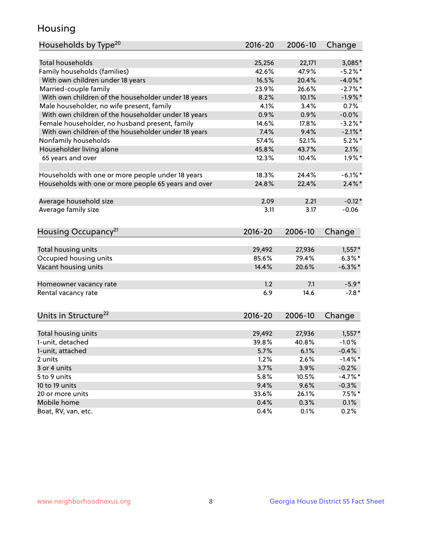## Housing

| Households by Type <sup>20</sup>                     | 2016-20         | 2006-10         | Change     |
|------------------------------------------------------|-----------------|-----------------|------------|
| <b>Total households</b>                              |                 |                 |            |
|                                                      | 25,256<br>42.6% | 22,171<br>47.9% | 3,085*     |
| Family households (families)                         | 16.5%           | 20.4%           | $-5.2%$ *  |
| With own children under 18 years                     |                 |                 | $-4.0\%$ * |
| Married-couple family                                | 23.9%           | 26.6%           | $-2.7%$ *  |
| With own children of the householder under 18 years  | 8.2%            | 10.1%           | $-1.9%$ *  |
| Male householder, no wife present, family            | 4.1%            | 3.4%            | 0.7%       |
| With own children of the householder under 18 years  | 0.9%            | 0.9%            | $-0.0\%$   |
| Female householder, no husband present, family       | 14.6%           | 17.8%           | $-3.2%$ *  |
| With own children of the householder under 18 years  | 7.4%            | 9.4%            | $-2.1\%$ * |
| Nonfamily households                                 | 57.4%           | 52.1%           | $5.2\%$ *  |
| Householder living alone                             | 45.8%           | 43.7%           | 2.1%       |
| 65 years and over                                    | 12.3%           | 10.4%           | $1.9\%$ *  |
| Households with one or more people under 18 years    | 18.3%           | 24.4%           | $-6.1\%$ * |
| Households with one or more people 65 years and over | 24.8%           | 22.4%           | $2.4\%$ *  |
|                                                      |                 |                 |            |
| Average household size                               | 2.09            | 2.21            | $-0.12*$   |
| Average family size                                  | 3.11            | 3.17            | $-0.06$    |
| Housing Occupancy <sup>21</sup>                      | 2016-20         | 2006-10         | Change     |
| Total housing units                                  | 29,492          | 27,936          | $1,557*$   |
| Occupied housing units                               | 85.6%           | 79.4%           | $6.3\%$ *  |
| Vacant housing units                                 | 14.4%           | 20.6%           | $-6.3\%$ * |
|                                                      | 1.2             | 7.1             | $-5.9*$    |
| Homeowner vacancy rate                               |                 |                 |            |
| Rental vacancy rate                                  | 6.9             | 14.6            | $-7.8*$    |
| Units in Structure <sup>22</sup>                     | 2016-20         | 2006-10         | Change     |
| Total housing units                                  | 29,492          | 27,936          | $1,557*$   |
| 1-unit, detached                                     | 39.8%           | 40.8%           | $-1.0%$    |
| 1-unit, attached                                     | 5.7%            | 6.1%            | $-0.4%$    |
| 2 units                                              | 1.2%            | 2.6%            | $-1.4%$ *  |
| 3 or 4 units                                         | 3.7%            | 3.9%            | $-0.2%$    |
| 5 to 9 units                                         | 5.8%            | 10.5%           | $-4.7\%$ * |
| 10 to 19 units                                       | 9.4%            | 9.6%            | $-0.3\%$   |
| 20 or more units                                     | 33.6%           | 26.1%           | $7.5\%$ *  |
| Mobile home                                          | 0.4%            | 0.3%            | 0.1%       |
| Boat, RV, van, etc.                                  | 0.4%            | 0.1%            | 0.2%       |
|                                                      |                 |                 |            |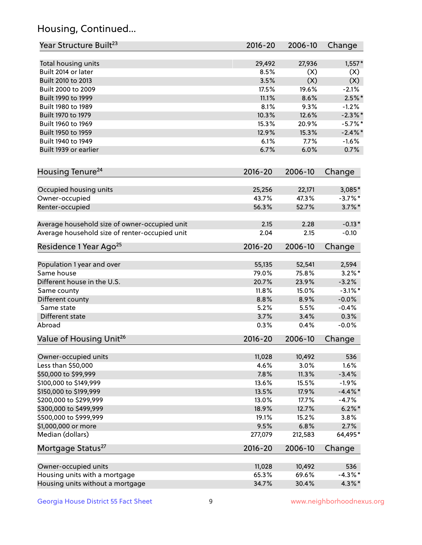## Housing, Continued...

| Year Structure Built <sup>23</sup>             | 2016-20     | 2006-10 | Change     |
|------------------------------------------------|-------------|---------|------------|
| Total housing units                            | 29,492      | 27,936  | $1,557*$   |
| Built 2014 or later                            | 8.5%        | (X)     | (X)        |
| Built 2010 to 2013                             | 3.5%        | (X)     | (X)        |
| Built 2000 to 2009                             | 17.5%       | 19.6%   | $-2.1%$    |
| Built 1990 to 1999                             | 11.1%       | 8.6%    | $2.5\%$ *  |
| Built 1980 to 1989                             | 8.1%        | 9.3%    | $-1.2%$    |
| Built 1970 to 1979                             | 10.3%       | 12.6%   | $-2.3\%$ * |
| Built 1960 to 1969                             | 15.3%       | 20.9%   | $-5.7%$ *  |
| Built 1950 to 1959                             | 12.9%       | 15.3%   | $-2.4\%$ * |
| Built 1940 to 1949                             | 6.1%        | 7.7%    | $-1.6%$    |
| Built 1939 or earlier                          | 6.7%        | 6.0%    | 0.7%       |
| Housing Tenure <sup>24</sup>                   | $2016 - 20$ | 2006-10 | Change     |
| Occupied housing units                         | 25,256      | 22,171  | 3,085*     |
| Owner-occupied                                 | 43.7%       | 47.3%   | $-3.7\%$ * |
| Renter-occupied                                | 56.3%       | 52.7%   | $3.7\%$ *  |
| Average household size of owner-occupied unit  | 2.15        | 2.28    | $-0.13*$   |
| Average household size of renter-occupied unit | 2.04        | 2.15    | $-0.10$    |
| Residence 1 Year Ago <sup>25</sup>             | $2016 - 20$ | 2006-10 | Change     |
| Population 1 year and over                     | 55,135      | 52,541  | 2,594      |
| Same house                                     | 79.0%       | 75.8%   | $3.2\%$ *  |
| Different house in the U.S.                    | 20.7%       | 23.9%   | $-3.2%$    |
| Same county                                    | 11.8%       | 15.0%   | $-3.1\%$ * |
| Different county                               | 8.8%        | 8.9%    | $-0.0%$    |
| Same state                                     | 5.2%        | 5.5%    | $-0.4%$    |
| Different state                                | 3.7%        | 3.4%    | 0.3%       |
| Abroad                                         | 0.3%        | 0.4%    | $-0.0%$    |
| Value of Housing Unit <sup>26</sup>            | $2016 - 20$ | 2006-10 | Change     |
| Owner-occupied units                           | 11,028      | 10,492  | 536        |
| Less than \$50,000                             | 4.6%        | 3.0%    | 1.6%       |
| \$50,000 to \$99,999                           | 7.8%        | 11.3%   | $-3.4%$    |
| \$100,000 to \$149,999                         | 13.6%       | 15.5%   | $-1.9%$    |
| \$150,000 to \$199,999                         | 13.5%       | 17.9%   | $-4.4\%$ * |
| \$200,000 to \$299,999                         | 13.0%       | 17.7%   | $-4.7%$    |
| \$300,000 to \$499,999                         | 18.9%       | 12.7%   | $6.2\% *$  |
| \$500,000 to \$999,999                         | 19.1%       | 15.2%   | 3.8%       |
| \$1,000,000 or more                            | 9.5%        | 6.8%    | 2.7%       |
| Median (dollars)                               | 277,079     | 212,583 | 64,495*    |
| Mortgage Status <sup>27</sup>                  | $2016 - 20$ | 2006-10 | Change     |
| Owner-occupied units                           | 11,028      | 10,492  | 536        |
| Housing units with a mortgage                  | 65.3%       | 69.6%   | $-4.3\%$ * |
| Housing units without a mortgage               | 34.7%       | 30.4%   | $4.3\%$ *  |
|                                                |             |         |            |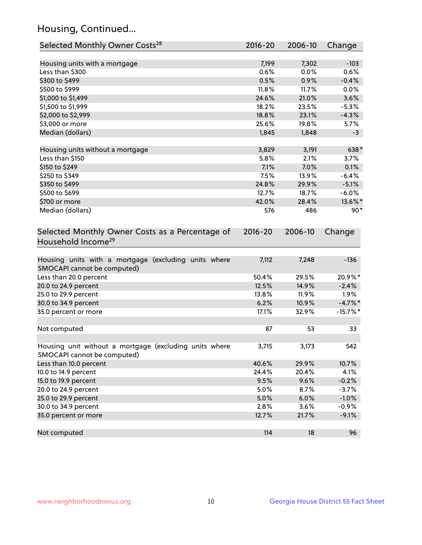## Housing, Continued...

| Selected Monthly Owner Costs <sup>28</sup>                                            | 2016-20     | 2006-10 | Change      |
|---------------------------------------------------------------------------------------|-------------|---------|-------------|
| Housing units with a mortgage                                                         | 7,199       | 7,302   | $-103$      |
| Less than \$300                                                                       | 0.6%        | 0.0%    | 0.6%        |
| \$300 to \$499                                                                        | 0.5%        | 0.9%    | $-0.4%$     |
| \$500 to \$999                                                                        | 11.8%       | 11.7%   | 0.0%        |
| \$1,000 to \$1,499                                                                    | 24.6%       | 21.0%   | 3.6%        |
| \$1,500 to \$1,999                                                                    | 18.2%       | 23.5%   | $-5.3%$     |
| \$2,000 to \$2,999                                                                    | 18.8%       | 23.1%   | $-4.3%$     |
| \$3,000 or more                                                                       | 25.6%       | 19.8%   | 5.7%        |
| Median (dollars)                                                                      | 1,845       | 1,848   | $-3$        |
|                                                                                       |             |         |             |
| Housing units without a mortgage                                                      | 3,829       | 3,191   | 638*        |
| Less than \$150                                                                       | 5.8%        | 2.1%    | 3.7%        |
| \$150 to \$249                                                                        | 7.1%        | 7.0%    | 0.1%        |
| \$250 to \$349                                                                        | 7.5%        | 13.9%   | $-6.4%$     |
| \$350 to \$499                                                                        | 24.8%       | 29.9%   | $-5.1%$     |
| \$500 to \$699                                                                        | 12.7%       | 18.7%   | $-6.0\%$    |
| \$700 or more                                                                         | 42.0%       | 28.4%   | 13.6%*      |
| Median (dollars)                                                                      | 576         | 486     | $90*$       |
| Selected Monthly Owner Costs as a Percentage of<br>Household Income <sup>29</sup>     | $2016 - 20$ | 2006-10 | Change      |
| Housing units with a mortgage (excluding units where<br>SMOCAPI cannot be computed)   | 7,112       | 7,248   | $-136$      |
| Less than 20.0 percent                                                                | 50.4%       | 29.5%   | 20.9%*      |
| 20.0 to 24.9 percent                                                                  | 12.5%       | 14.9%   | $-2.4%$     |
| 25.0 to 29.9 percent                                                                  | 13.8%       | 11.9%   | $1.9\%$     |
| 30.0 to 34.9 percent                                                                  | 6.2%        | 10.9%   | $-4.7\%$ *  |
| 35.0 percent or more                                                                  | 17.1%       | 32.9%   | $-15.7\%$ * |
| Not computed                                                                          | 87          | 53      | 33          |
| Housing unit without a mortgage (excluding units where<br>SMOCAPI cannot be computed) | 3,715       | 3,173   | 542         |
| Less than 10.0 percent                                                                | 40.6%       | 29.9%   | 10.7%       |
| 10.0 to 14.9 percent                                                                  | 24.4%       | 20.4%   | 4.1%        |
| 15.0 to 19.9 percent                                                                  | 9.5%        | 9.6%    | $-0.2%$     |
| 20.0 to 24.9 percent                                                                  | 5.0%        | 8.7%    | $-3.7%$     |
| 25.0 to 29.9 percent                                                                  | 5.0%        | 6.0%    | $-1.0%$     |
| 30.0 to 34.9 percent                                                                  | 2.8%        | 3.6%    | $-0.9%$     |
| 35.0 percent or more                                                                  | 12.7%       | 21.7%   | $-9.1%$     |
| Not computed                                                                          | 114         | 18      | 96          |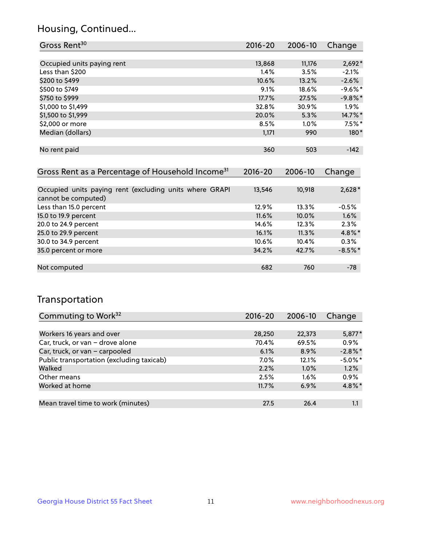## Housing, Continued...

| Gross Rent <sup>30</sup>   | 2016-20 | 2006-10 | Change    |
|----------------------------|---------|---------|-----------|
|                            |         |         |           |
| Occupied units paying rent | 13,868  | 11,176  | $2,692*$  |
| Less than \$200            | $1.4\%$ | 3.5%    | $-2.1%$   |
| \$200 to \$499             | 10.6%   | 13.2%   | $-2.6%$   |
| \$500 to \$749             | 9.1%    | 18.6%   | $-9.6%$ * |
| \$750 to \$999             | 17.7%   | 27.5%   | $-9.8%$ * |
| \$1,000 to \$1,499         | 32.8%   | 30.9%   | $1.9\%$   |
| \$1,500 to \$1,999         | 20.0%   | 5.3%    | 14.7%*    |
| \$2,000 or more            | 8.5%    | 1.0%    | $7.5%$ *  |
| Median (dollars)           | 1,171   | 990     | $180*$    |
|                            |         |         |           |
| No rent paid               | 360     | 503     | $-142$    |
|                            |         |         |           |

| Gross Rent as a Percentage of Household Income <sup>31</sup>                   | $2016 - 20$ | 2006-10 | Change    |
|--------------------------------------------------------------------------------|-------------|---------|-----------|
|                                                                                |             |         |           |
| Occupied units paying rent (excluding units where GRAPI<br>cannot be computed) | 13,546      | 10,918  | $2,628*$  |
| Less than 15.0 percent                                                         | 12.9%       | 13.3%   | $-0.5%$   |
| 15.0 to 19.9 percent                                                           | 11.6%       | 10.0%   | 1.6%      |
| 20.0 to 24.9 percent                                                           | 14.6%       | 12.3%   | 2.3%      |
| 25.0 to 29.9 percent                                                           | 16.1%       | 11.3%   | 4.8%*     |
| 30.0 to 34.9 percent                                                           | 10.6%       | 10.4%   | 0.3%      |
| 35.0 percent or more                                                           | 34.2%       | 42.7%   | $-8.5%$ * |
|                                                                                |             |         |           |
| Not computed                                                                   | 682         | 760     | $-78$     |

## Transportation

| Commuting to Work <sup>32</sup>           | 2016-20 | 2006-10 | Change     |
|-------------------------------------------|---------|---------|------------|
|                                           |         |         |            |
| Workers 16 years and over                 | 28,250  | 22,373  | $5,877*$   |
| Car, truck, or van - drove alone          | 70.4%   | 69.5%   | 0.9%       |
| Car, truck, or van - carpooled            | 6.1%    | 8.9%    | $-2.8\%$ * |
| Public transportation (excluding taxicab) | $7.0\%$ | 12.1%   | $-5.0\%$ * |
| Walked                                    | 2.2%    | 1.0%    | 1.2%       |
| Other means                               | 2.5%    | $1.6\%$ | 0.9%       |
| Worked at home                            | 11.7%   | 6.9%    | 4.8%*      |
|                                           |         |         |            |
| Mean travel time to work (minutes)        | 27.5    | 26.4    | 1.1        |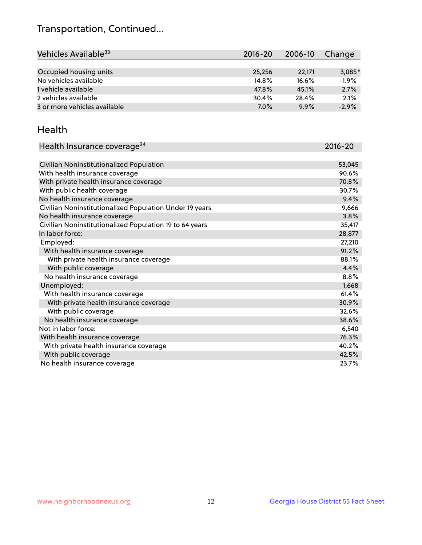## Transportation, Continued...

| Vehicles Available <sup>33</sup> | 2016-20 | 2006-10 | Change   |
|----------------------------------|---------|---------|----------|
|                                  |         |         |          |
| Occupied housing units           | 25,256  | 22,171  | $3,085*$ |
| No vehicles available            | 14.8%   | 16.6%   | $-1.9%$  |
| 1 vehicle available              | 47.8%   | 45.1%   | 2.7%     |
| 2 vehicles available             | 30.4%   | 28.4%   | 2.1%     |
| 3 or more vehicles available     | 7.0%    | 9.9%    | $-2.9%$  |

#### Health

| Health Insurance coverage <sup>34</sup>                 | 2016-20 |
|---------------------------------------------------------|---------|
|                                                         |         |
| Civilian Noninstitutionalized Population                | 53,045  |
| With health insurance coverage                          | 90.6%   |
| With private health insurance coverage                  | 70.8%   |
| With public health coverage                             | 30.7%   |
| No health insurance coverage                            | 9.4%    |
| Civilian Noninstitutionalized Population Under 19 years | 9,666   |
| No health insurance coverage                            | 3.8%    |
| Civilian Noninstitutionalized Population 19 to 64 years | 35,417  |
| In labor force:                                         | 28,877  |
| Employed:                                               | 27,210  |
| With health insurance coverage                          | 91.2%   |
| With private health insurance coverage                  | 88.1%   |
| With public coverage                                    | 4.4%    |
| No health insurance coverage                            | 8.8%    |
| Unemployed:                                             | 1,668   |
| With health insurance coverage                          | 61.4%   |
| With private health insurance coverage                  | 30.9%   |
| With public coverage                                    | 32.6%   |
| No health insurance coverage                            | 38.6%   |
| Not in labor force:                                     | 6,540   |
| With health insurance coverage                          | 76.3%   |
| With private health insurance coverage                  | 40.2%   |
| With public coverage                                    | 42.5%   |
| No health insurance coverage                            | 23.7%   |